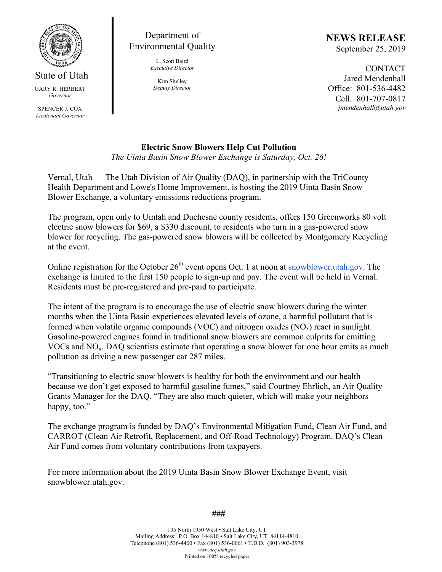

State of Utah GARY R. HERBERT *Governor* 

SPENCER J. COX *Lieutenant Governor* 

Department of Environmental Quality

> L. Scott Baird *Executive Director*

Kim Shelley *Deputy Director*  **NEWS RELEASE** September 25, 2019

**CONTACT** Jared Mendenhall Office: 801-536-4482 Cell: 801-707-0817 *jmendenhall@utah.gov* 

## **Electric Snow Blowers Help Cut Pollution**

*The Uinta Basin Snow Blower Exchange is Saturday, Oct. 26!* 

Vernal, Utah — The Utah Division of Air Quality (DAQ), in partnership with the TriCounty Health Department and Lowe's Home Improvement, is hosting the 2019 Uinta Basin Snow Blower Exchange, a voluntary emissions reductions program.

The program, open only to Uintah and Duchesne county residents, offers 150 Greenworks 80 volt electric snow blowers for \$69, a \$330 discount, to residents who turn in a gas-powered snow blower for recycling. The gas-powered snow blowers will be collected by Montgomery Recycling at the event.

Online registration for the October 26<sup>th</sup> event opens Oct. 1 at noon at **snowblower** utah gov. The exchange is limited to the first 150 people to sign-up and pay. The event will be held in Vernal. Residents must be pre-registered and pre-paid to participate.

The intent of the program is to encourage the use of electric snow blowers during the winter months when the Uinta Basin experiences elevated levels of ozone, a harmful pollutant that is formed when volatile organic compounds (VOC) and nitrogen oxides  $(NO_x)$  react in sunlight. Gasoline-powered engines found in traditional snow blowers are common culprits for emitting VOCs and NOx. DAQ scientists estimate that operating a snow blower for one hour emits as much pollution as driving a new passenger car 287 miles.

"Transitioning to electric snow blowers is healthy for both the environment and our health because we don't get exposed to harmful gasoline fumes," said Courtney Ehrlich, an Air Quality Grants Manager for the DAQ. "They are also much quieter, which will make your neighbors happy, too."

The exchange program is funded by DAQ's Environmental Mitigation Fund, Clean Air Fund, and CARROT (Clean Air Retrofit, Replacement, and Off-Road Technology) Program. DAQ's Clean Air Fund comes from voluntary contributions from taxpayers.

For more information about the 2019 Uinta Basin Snow Blower Exchange Event, visit snowblower.utah.gov.

**###** 

195 North 1950 West • Salt Lake City, UT Mailing Address: P.O. Box 144810 • Salt Lake City, UT 84114-4810 Telephone (801) 536-4400 • Fax (801) 536-0061 • T.D.D. (801) 903-3978 *www.deq.utah.gov*  Printed on 100% recycled paper